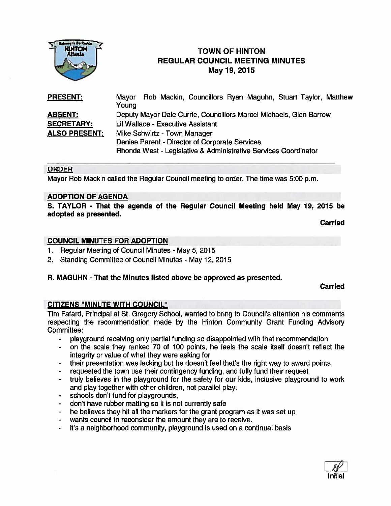

# **TOWN OF HINTON** REGULAR COUNCIL MEETING MINUTES May19, 2015

PRESENT: Mayor Rob Mackin, Councillors Ryan Maguhn, Stuart Taylor, Matthew Young **ABSENT:** Deputy Mayor Dale Currie, Councillors Marcel Michaels, Glen Barrow SECRETARY: Lil Wallace - Executive Assistant ALSO PRESENT: Mike Schwirtz - Town Manager Denise Parent - Director of Corporate Services Rhonda West - Legislative & Administrative Services Coordinator

#### ORDER

Mayor Rob Mackin called the Regular Council meeting to order. The time was 5:00 p.m.

#### ADOPTION OF AGENDA

S. TAYLOR - That the agenda of the Regular Council Meeting held May 19, 2015 be adopted as presented.

Carried

#### COUNCIL MINUTES FOR ADOPTION

- 1. Regular Meeting of Council Minutes May 5,2015
- 2. Standing Committee of Council Minutes- May 12, 2015

#### R. MAGUHN - That the Minutes listed above be approved as presented.

Carried

#### CITIZENS "MINUTE WITH COUNCIL"

Tim Fafard, Principal at St. Gregory School, wanted to bring to Council's attention his comments respecting the recommendation made by the Hinton Community Grant Funding Advisory Committee:

- playground receiving only partial funding so disappointed with that recommendation
- on the scale they ranked 70 of 100 points, he feels the scale itself doesn't reflect the  $\blacksquare$ integrity or value of what they were asking for
- their presentation was lacking but he doesn't feel that's the right way to award points
- requested the town use their contingency funding, and fully fund their reques<sup>t</sup>
- truly believes in the playground for the safety for our kids, inclusive playground to work and play together with other children, not parallel play.
- schools don't fund for playgrounds,
- don't have rubber matting so it is not currently safe
- he believes they hit all the markers for the gran<sup>t</sup> program as it was set up  $\sim$
- wants council to reconsider the amount they are to receive.  $\sim 100$
- it's <sup>a</sup> neighborhood community, playground is used on <sup>a</sup> continual basis  $\frac{1}{2}$

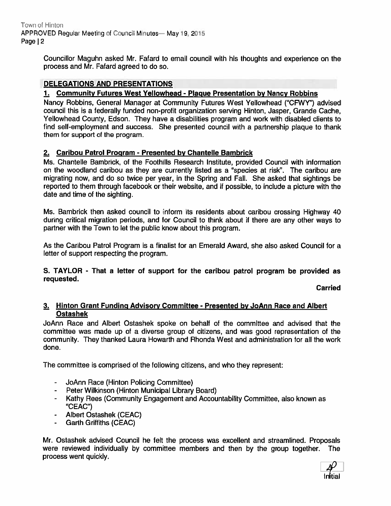Town of Hinton APPROVED Regular Meeting of Council Minutes— May 19, 2015 Page | 2

> Councillor Maguhn asked Mr. Fafard to email council with his thoughts and experience on the process and Mr. Fafard agreed to do so.

## DELEGATIONS AND PRESENTATIONS

## 1. Community Futures West Yellowhead - Plague Presentation by Nancy Robbins

Nancy Robbins, General Manager at Community Futures West Yellowhead ("CFWY") advised council this is <sup>a</sup> federally funded non-profit organization serving Hinton, Jasper, Grande Cache, Yellowhead County, Edson. They have <sup>a</sup> disabilities program and work with disabled clients to find self-employment and success. She presented council with <sup>a</sup> partnership plaque to thank them for suppor<sup>t</sup> of the program.

## 2. Caribou Patrol Program - Presented by Chantelle Bambrick

Ms. Chantelle Bambrick, of the Foothills Research Institute, provided Council with information on the woodland caribou as they are currently listed as <sup>a</sup> "species at risk". The caribou are migrating now, and do so twice per year, in the Spring and Fall. She asked that sightings be reported to them through facebook or their website, and if possible, to include <sup>a</sup> picture with the date and time of the sighting.

Ms. Bambrick then asked council to inform its residents about caribou crossing Highway 40 during critical migration periods, and for Council to think about if there are any other ways to partner with the Town to let the public know about this program.

As the Caribou Patrol Program is <sup>a</sup> finalist for an Emerald Award, she also asked Council for <sup>a</sup> letter of suppor<sup>t</sup> respecting the program.

S. TAYLOR - That <sup>a</sup> letter of suppor<sup>t</sup> for the caribou patrol program be provided as requested.

Carried

#### 3. Hinton Grant Funding Advisory Committee - Presented by JoAnn Race and Albert Ostashek

JoAnn Race and Albert Ostashek spoke on behalf of the committee and advised that the committee was made up of <sup>a</sup> diverse group of citizens, and was good representation of the community. They thanked Laura Howarth and Rhonda West and administration for all the work done.

The committee is comprised of the following citizens, and who they represent:

- -JoAnn Race (Hinton Policing Committee)
- Peter Wilkinson (Hinton Municipal Library Board)
- Kathy Rees (Community Engagement and Accountability Committee, also known as "CEAC")
- Albert Ostashek (CEAC)
- Garth Griffiths (CEAC)

Mr. Ostashek advised Council he felt the process was excellent and streamlined. Proposals were reviewed individually by committee members and then by the group together. The process went quickly.

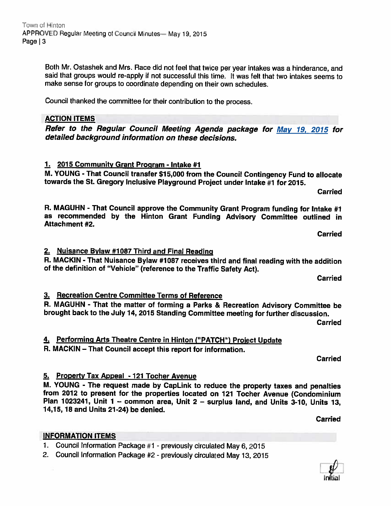Both Mr. Ostashek and Mrs. Race did not feel that twice per year intakes was <sup>a</sup> hinderance, and said that groups would re-apply if not successful this time. It was felt that two intakes seems to make sense for groups to coordinate depending on their own schedules.

Council thanked the committee for their contribution to the process.

# ACTION ITEMS

Refer to the Regular Council Meeting Agenda package for May 19, <sup>2015</sup> for detailed background information on these decisions.

## 1. 2015 Community Grant Program - Intake #1

M. YOUNG - That Council transfer \$15,000 from the Council Contingency Fund to allocate towards the St. Gregory Inclusive Playground Project under Intake #1 for 2015.

R. MAGUHN - That Council approve the Community Grant Program funding for Intake #1 as recommended by the Hinton Grant Funding Advisory Committee outlined in Attachment #2.

Carried

Carried

## 2. Nuisance Bylaw #1087 Third and Final Reading

R. MACKIN - That Nuisance Bylaw #1087 receives third and final reading with the addition of the definition of "Vehicle" (reference to the Traffic Safety Act).

Carried

## 3. Recreation Centre Committee Terms of Reference

R. MAGUHN - That the matter of forming <sup>a</sup> Parks & Recreation Advisory Committee be brought back to the July 14, <sup>2015</sup> Standing Committee meeting for further discussion.

Carried

# 4. Performing Arts Theatre Centre in Hinton ("PATCH") Project Update

R. MACKIN — That Council accept this report for information.

Carried

## 5. Property Tax Appeal - <sup>121</sup> Tocher Avenue

M. YOUNG - The request made by CapLink to reduce the property taxes and penalties from <sup>2012</sup> to present for the properties located on <sup>121</sup> Tocher Avenue (Condominium Plan 1023241, Unit <sup>1</sup> — common area, Unit <sup>2</sup> — surplus land, and Units 3-10, Units 13, 14,15, 18 and Units 21-24) be denied.

#### INFORMATION ITEMS

1. Council Information Package #1 - previously circulated May 6, <sup>2015</sup>

2. Council Information Package #2 - previously circulated May 13, <sup>2015</sup>

Carried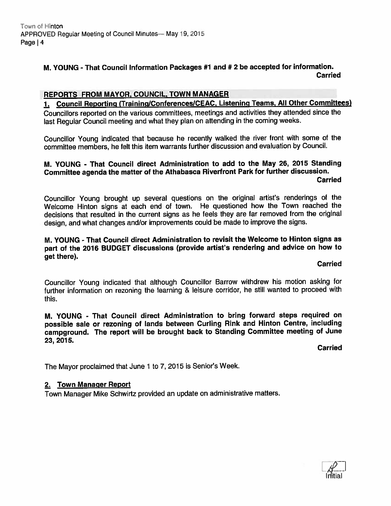## M. YOUNG - That Council Information Packages #1 and # <sup>2</sup> be accepted for information. **Carried**

## REPORTS FROM MAYOR, COUNCIL, TOWN MANAGER

Council Reporting (Training/Conferences/CEAC, Listening Teams, All Other Committees)

Councillors reported on the various committees, meetings and activities they attended since the last Regular Council meeting and what they <sup>p</sup>lan on attending in the coming weeks.

Councillor Young indicated that because he recently walked the river front with some of the committee members, he felt this item warrants further discussion and evaluation by Council.

## M. YOUNG - That Council direct Administration to add to the May 26, 2015 Standing Committee agenda the matter of the Athabasca Riverfront Park for further discussion. Carried

Councillor Young brought up several questions on the original artist's renderings of the Welcome Hinton signs at each end of town. He questioned how the Town reached the decisions that resulted in the current signs as he feels they are far removed from the original design, and what changes and/or improvements could be made to improve the signs.

M. YOUNG - That Council direct Administration to revisit the Welcome to Hinton signs as par<sup>t</sup> of the <sup>2016</sup> BUDGET discussions (provide artist's rendering and advice on how to ge<sup>t</sup> there).

#### **Carried**

Councillor Young indicated that although Councillor Barrow withdrew his motion asking for further information on rezoning the learning & leisure corridor, he still wanted to procee<sup>d</sup> with this.

M. YOUNG - That Council direct Administration to bring forward steps required on possible sale or rezoning of lands between Curling Rink and Hinton Centre, including campground. The repor<sup>t</sup> will be brought back to Standing Committee meeting of June 23, 2015.

Carried

The Mayor proclaimed that June 1 to 7, 2015 is Senior's Week.

#### 2. Town Manager Report

Town Manager Mike Schwirtz provided an update on administrative matters.